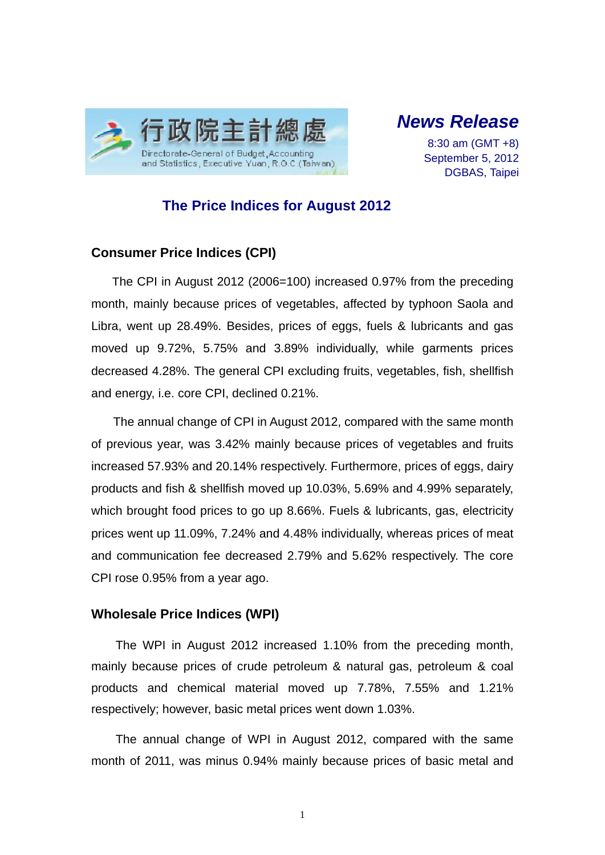

# *News Release*

8:30 am (GMT +8) September 5, 2012 DGBAS, Taipei

### **The Price Indices for August 2012**

#### **Consumer Price Indices (CPI)**

The CPI in August 2012 (2006=100) increased 0.97% from the preceding month, mainly because prices of vegetables, affected by typhoon Saola and Libra, went up 28.49%. Besides, prices of eggs, fuels & lubricants and gas moved up 9.72%, 5.75% and 3.89% individually, while garments prices decreased 4.28%. The general CPI excluding fruits, vegetables, fish, shellfish and energy, i.e. core CPI, declined 0.21%.

The annual change of CPI in August 2012, compared with the same month of previous year, was 3.42% mainly because prices of vegetables and fruits increased 57.93% and 20.14% respectively. Furthermore, prices of eggs, dairy products and fish & shellfish moved up 10.03%, 5.69% and 4.99% separately, which brought food prices to go up 8.66%. Fuels & lubricants, gas, electricity prices went up 11.09%, 7.24% and 4.48% individually, whereas prices of meat and communication fee decreased 2.79% and 5.62% respectively. The core CPI rose 0.95% from a year ago.

#### **Wholesale Price Indices (WPI)**

The WPI in August 2012 increased 1.10% from the preceding month, mainly because prices of crude petroleum & natural gas, petroleum & coal products and chemical material moved up 7.78%, 7.55% and 1.21% respectively; however, basic metal prices went down 1.03%.

The annual change of WPI in August 2012, compared with the same month of 2011, was minus 0.94% mainly because prices of basic metal and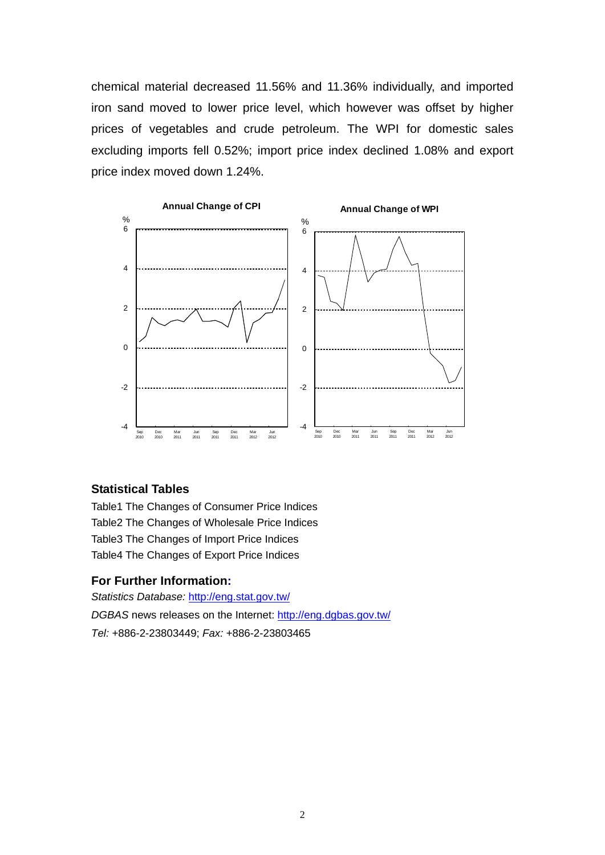chemical material decreased 11.56% and 11.36% individually, and imported iron sand moved to lower price level, which however was offset by higher prices of vegetables and crude petroleum. The WPI for domestic sales excluding imports fell 0.52%; import price index declined 1.08% and export price index moved down 1.24%.



#### **Statistical Tables**

Table1 The Changes of Consumer Price Indices Table2 The Changes of Wholesale Price Indices Table3 The Changes of Import Price Indices Table4 The Changes of Export Price Indices

#### **For Further Information:**

*Statistics Database:* http://eng.stat.gov.tw/ *DGBAS* news releases on the Internet: http://eng.dgbas.gov.tw/ *Tel:* +886-2-23803449; *Fax:* +886-2-23803465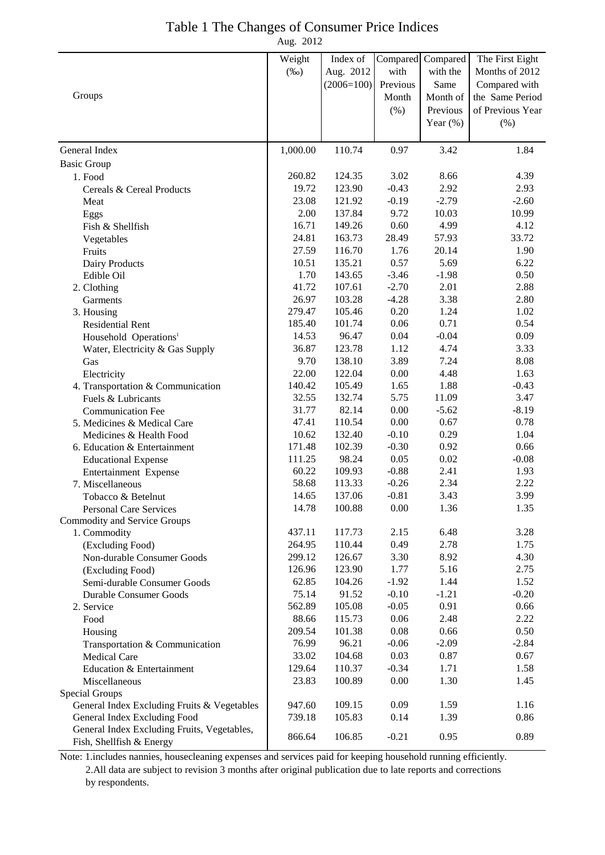## Table 1 The Changes of Consumer Price Indices

Aug. 2012

|                                             | Weight   | Index of     | Compared | Compared    | The First Eight  |
|---------------------------------------------|----------|--------------|----------|-------------|------------------|
|                                             | $(\%0)$  | Aug. 2012    | with     | with the    | Months of 2012   |
|                                             |          | $(2006=100)$ | Previous | Same        | Compared with    |
| Groups                                      |          |              | Month    | Month of    | the Same Period  |
|                                             |          |              | $(\% )$  | Previous    | of Previous Year |
|                                             |          |              |          | Year $(\%)$ | (%)              |
| General Index                               | 1,000.00 | 110.74       | 0.97     | 3.42        | 1.84             |
|                                             |          |              |          |             |                  |
| <b>Basic Group</b>                          |          |              |          |             |                  |
| 1. Food                                     | 260.82   | 124.35       | 3.02     | 8.66        | 4.39             |
| Cereals & Cereal Products                   | 19.72    | 123.90       | $-0.43$  | 2.92        | 2.93             |
| Meat                                        | 23.08    | 121.92       | $-0.19$  | $-2.79$     | $-2.60$          |
| Eggs                                        | 2.00     | 137.84       | 9.72     | 10.03       | 10.99            |
| Fish & Shellfish                            | 16.71    | 149.26       | 0.60     | 4.99        | 4.12             |
| Vegetables                                  | 24.81    | 163.73       | 28.49    | 57.93       | 33.72            |
| Fruits                                      | 27.59    | 116.70       | 1.76     | 20.14       | 1.90             |
| Dairy Products                              | 10.51    | 135.21       | 0.57     | 5.69        | 6.22             |
| Edible Oil                                  | 1.70     | 143.65       | $-3.46$  | $-1.98$     | 0.50             |
| 2. Clothing                                 | 41.72    | 107.61       | $-2.70$  | 2.01        | 2.88             |
| Garments                                    | 26.97    | 103.28       | $-4.28$  | 3.38        | 2.80             |
| 3. Housing                                  | 279.47   | 105.46       | 0.20     | 1.24        | 1.02             |
| <b>Residential Rent</b>                     | 185.40   | 101.74       | 0.06     | 0.71        | 0.54             |
| Household Operations <sup>1</sup>           | 14.53    | 96.47        | 0.04     | $-0.04$     | 0.09             |
| Water, Electricity & Gas Supply             | 36.87    | 123.78       | 1.12     | 4.74        | 3.33             |
| Gas                                         | 9.70     | 138.10       | 3.89     | 7.24        | 8.08             |
| Electricity                                 | 22.00    | 122.04       | 0.00     | 4.48        | 1.63             |
| 4. Transportation & Communication           | 140.42   | 105.49       | 1.65     | 1.88        | $-0.43$          |
| Fuels & Lubricants                          | 32.55    | 132.74       | 5.75     | 11.09       | 3.47             |
| <b>Communication Fee</b>                    | 31.77    | 82.14        | 0.00     | $-5.62$     | $-8.19$          |
| 5. Medicines & Medical Care                 | 47.41    | 110.54       | 0.00     | 0.67        | 0.78             |
| Medicines & Health Food                     | 10.62    | 132.40       | $-0.10$  | 0.29        | 1.04             |
| 6. Education & Entertainment                | 171.48   | 102.39       | $-0.30$  | 0.92        | 0.66             |
| <b>Educational Expense</b>                  | 111.25   | 98.24        | 0.05     | 0.02        | $-0.08$          |
| Entertainment Expense                       | 60.22    | 109.93       | $-0.88$  | 2.41        | 1.93             |
| 7. Miscellaneous                            | 58.68    | 113.33       | $-0.26$  | 2.34        | 2.22             |
| Tobacco & Betelnut                          | 14.65    | 137.06       | $-0.81$  | 3.43        | 3.99             |
| <b>Personal Care Services</b>               | 14.78    | 100.88       | 0.00     | 1.36        | 1.35             |
| <b>Commodity and Service Groups</b>         |          |              |          |             |                  |
| 1. Commodity                                | 437.11   | 117.73       | 2.15     | 6.48        | 3.28             |
| (Excluding Food)                            | 264.95   | 110.44       | 0.49     | 2.78        | 1.75             |
| Non-durable Consumer Goods                  | 299.12   | 126.67       | 3.30     | 8.92        | 4.30             |
| (Excluding Food)                            | 126.96   | 123.90       | 1.77     | 5.16        | 2.75             |
| Semi-durable Consumer Goods                 | 62.85    | 104.26       | $-1.92$  | 1.44        | 1.52             |
| Durable Consumer Goods                      | 75.14    | 91.52        | $-0.10$  | $-1.21$     | $-0.20$          |
| 2. Service                                  | 562.89   | 105.08       | $-0.05$  | 0.91        | 0.66             |
| Food                                        | 88.66    | 115.73       | 0.06     | 2.48        | 2.22             |
| Housing                                     | 209.54   | 101.38       | 0.08     | 0.66        | 0.50             |
| Transportation & Communication              | 76.99    | 96.21        | $-0.06$  | $-2.09$     | $-2.84$          |
| <b>Medical Care</b>                         | 33.02    | 104.68       | 0.03     | 0.87        | 0.67             |
| Education & Entertainment                   | 129.64   | 110.37       | $-0.34$  | 1.71        | 1.58             |
| Miscellaneous                               | 23.83    | 100.89       | 0.00     | 1.30        | 1.45             |
| Special Groups                              |          |              |          |             |                  |
| General Index Excluding Fruits & Vegetables | 947.60   | 109.15       | 0.09     | 1.59        | 1.16             |
| General Index Excluding Food                | 739.18   | 105.83       | 0.14     | 1.39        | 0.86             |
| General Index Excluding Fruits, Vegetables, |          |              |          |             |                  |
| Fish, Shellfish & Energy                    | 866.64   | 106.85       | $-0.21$  | 0.95        | 0.89             |

Note: 1.includes nannies, housecleaning expenses and services paid for keeping household running efficiently. 2.All data are subject to revision 3 months after original publication due to late reports and corrections by respondents.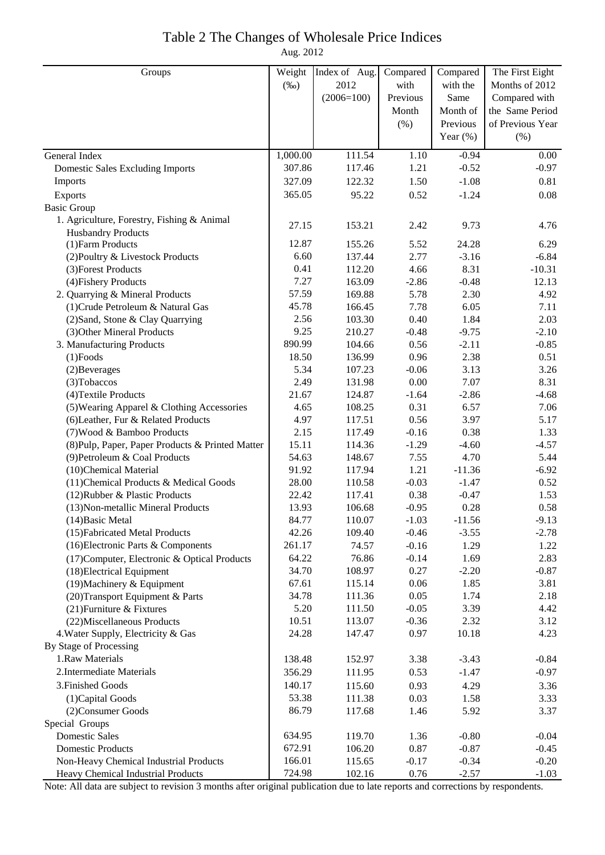### Table 2 The Changes of Wholesale Price Indices

Aug. 2012

| Groups                                           | Weight   | Index of Aug. | Compared | Compared    | The First Eight  |
|--------------------------------------------------|----------|---------------|----------|-------------|------------------|
|                                                  | $(\%0)$  | 2012          | with     | with the    | Months of 2012   |
|                                                  |          | $(2006=100)$  | Previous | Same        | Compared with    |
|                                                  |          |               | Month    | Month of    | the Same Period  |
|                                                  |          |               | (% )     | Previous    | of Previous Year |
|                                                  |          |               |          | Year $(\%)$ | (% )             |
| General Index                                    | 1,000.00 | 111.54        | 1.10     | $-0.94$     | 0.00             |
| <b>Domestic Sales Excluding Imports</b>          | 307.86   | 117.46        | 1.21     | $-0.52$     | $-0.97$          |
| Imports                                          | 327.09   | 122.32        | 1.50     | $-1.08$     | 0.81             |
| Exports                                          | 365.05   | 95.22         | 0.52     | $-1.24$     | 0.08             |
| <b>Basic Group</b>                               |          |               |          |             |                  |
| 1. Agriculture, Forestry, Fishing & Animal       |          |               |          |             |                  |
| <b>Husbandry Products</b>                        | 27.15    | 153.21        | 2.42     | 9.73        | 4.76             |
| (1) Farm Products                                | 12.87    | 155.26        | 5.52     | 24.28       | 6.29             |
| (2) Poultry & Livestock Products                 | 6.60     | 137.44        | 2.77     | $-3.16$     | $-6.84$          |
| (3) Forest Products                              | 0.41     | 112.20        | 4.66     | 8.31        | $-10.31$         |
| (4) Fishery Products                             | 7.27     | 163.09        | $-2.86$  | $-0.48$     | 12.13            |
| 2. Quarrying & Mineral Products                  | 57.59    | 169.88        | 5.78     | 2.30        | 4.92             |
| (1) Crude Petroleum & Natural Gas                | 45.78    | 166.45        | 7.78     | 6.05        | 7.11             |
| (2) Sand, Stone & Clay Quarrying                 | 2.56     | 103.30        | 0.40     | 1.84        | 2.03             |
| (3) Other Mineral Products                       | 9.25     | 210.27        | $-0.48$  | $-9.75$     | $-2.10$          |
| 3. Manufacturing Products                        | 890.99   | 104.66        | 0.56     | $-2.11$     | $-0.85$          |
| $(1)$ Foods                                      | 18.50    | 136.99        | 0.96     | 2.38        | 0.51             |
| (2) Beverages                                    | 5.34     | 107.23        | $-0.06$  | 3.13        | 3.26             |
| (3) Tobaccos                                     | 2.49     | 131.98        | $0.00\,$ | 7.07        | 8.31             |
| (4) Textile Products                             | 21.67    | 124.87        | $-1.64$  | $-2.86$     | $-4.68$          |
| (5) Wearing Apparel & Clothing Accessories       | 4.65     | 108.25        | 0.31     | 6.57        | 7.06             |
| (6) Leather, Fur & Related Products              | 4.97     | 117.51        | 0.56     | 3.97        | 5.17             |
| (7) Wood & Bamboo Products                       | 2.15     | 117.49        | $-0.16$  | 0.38        | 1.33             |
| (8) Pulp, Paper, Paper Products & Printed Matter | 15.11    | 114.36        | $-1.29$  | $-4.60$     | $-4.57$          |
| (9) Petroleum & Coal Products                    | 54.63    | 148.67        | 7.55     | 4.70        | 5.44             |
| (10)Chemical Material                            | 91.92    | 117.94        | 1.21     | $-11.36$    | $-6.92$          |
| (11) Chemical Products & Medical Goods           | 28.00    | 110.58        | $-0.03$  | $-1.47$     | 0.52             |
| (12) Rubber & Plastic Products                   | 22.42    | 117.41        | 0.38     | $-0.47$     | 1.53             |
| (13) Non-metallic Mineral Products               | 13.93    | 106.68        | $-0.95$  | 0.28        | 0.58             |
| $(14)$ Basic Metal                               | 84.77    | 110.07        | $-1.03$  | $-11.56$    | $-9.13$          |
| (15) Fabricated Metal Products                   | 42.26    | 109.40        | $-0.46$  | $-3.55$     | $-2.78$          |
| (16) Electronic Parts & Components               | 261.17   | 74.57         | $-0.16$  | 1.29        | 1.22             |
| (17) Computer, Electronic & Optical Products     | 64.22    | 76.86         | $-0.14$  | 1.69        | 2.83             |
| (18) Electrical Equipment                        | 34.70    | 108.97        | 0.27     | $-2.20$     | $-0.87$          |
| (19) Machinery & Equipment                       | 67.61    | 115.14        | 0.06     | 1.85        | 3.81             |
| (20) Transport Equipment & Parts                 | 34.78    | 111.36        | 0.05     | 1.74        | 2.18             |
| (21) Furniture & Fixtures                        | 5.20     | 111.50        | $-0.05$  | 3.39        | 4.42             |
| (22) Miscellaneous Products                      | 10.51    | 113.07        | $-0.36$  | 2.32        | 3.12             |
| 4. Water Supply, Electricity & Gas               | 24.28    | 147.47        | 0.97     | 10.18       | 4.23             |
| By Stage of Processing                           |          |               |          |             |                  |
| 1.Raw Materials                                  | 138.48   | 152.97        | 3.38     | $-3.43$     | $-0.84$          |
| 2. Intermediate Materials                        | 356.29   | 111.95        | 0.53     | $-1.47$     | $-0.97$          |
| 3. Finished Goods                                | 140.17   | 115.60        | 0.93     | 4.29        | 3.36             |
| (1) Capital Goods                                | 53.38    | 111.38        | 0.03     | 1.58        | 3.33             |
| (2) Consumer Goods                               | 86.79    | 117.68        | 1.46     | 5.92        | 3.37             |
| Special Groups                                   |          |               |          |             |                  |
| <b>Domestic Sales</b>                            | 634.95   | 119.70        | 1.36     | $-0.80$     | $-0.04$          |
| <b>Domestic Products</b>                         | 672.91   | 106.20        | 0.87     | $-0.87$     | $-0.45$          |
| Non-Heavy Chemical Industrial Products           | 166.01   | 115.65        | $-0.17$  | $-0.34$     | $-0.20$          |
| Heavy Chemical Industrial Products               | 724.98   | 102.16        | 0.76     | $-2.57$     | $-1.03$          |

Note: All data are subject to revision 3 months after original publication due to late reports and corrections by respondents.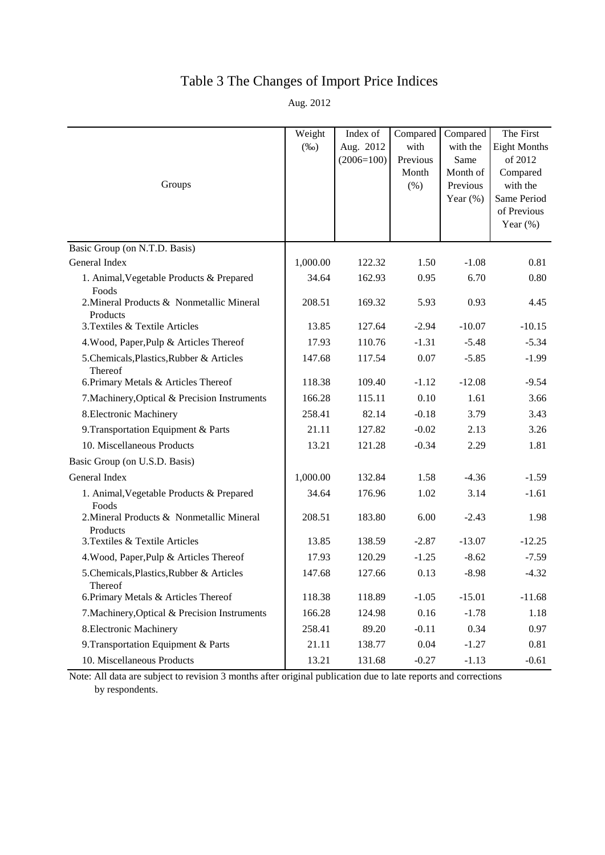## Table 3 The Changes of Import Price Indices

Aug. 2012

|                                                       | Weight<br>$(\%0)$ | Index of<br>Aug. 2012<br>$(2006=100)$ | Compared<br>with<br>Previous | Compared<br>with the<br>Same         | The First<br><b>Eight Months</b><br>of 2012        |
|-------------------------------------------------------|-------------------|---------------------------------------|------------------------------|--------------------------------------|----------------------------------------------------|
| Groups                                                |                   |                                       | Month<br>(% )                | Month of<br>Previous<br>Year $(\% )$ | Compared<br>with the<br>Same Period<br>of Previous |
|                                                       |                   |                                       |                              |                                      | Year $(\%)$                                        |
| Basic Group (on N.T.D. Basis)                         |                   |                                       |                              |                                      |                                                    |
| General Index                                         | 1,000.00          | 122.32                                | 1.50                         | $-1.08$                              | 0.81                                               |
| 1. Animal, Vegetable Products & Prepared<br>Foods     | 34.64             | 162.93                                | 0.95                         | 6.70                                 | 0.80                                               |
| 2. Mineral Products & Nonmetallic Mineral<br>Products | 208.51            | 169.32                                | 5.93                         | 0.93                                 | 4.45                                               |
| 3. Textiles & Textile Articles                        | 13.85             | 127.64                                | $-2.94$                      | $-10.07$                             | $-10.15$                                           |
| 4. Wood, Paper, Pulp & Articles Thereof               | 17.93             | 110.76                                | $-1.31$                      | $-5.48$                              | $-5.34$                                            |
| 5.Chemicals, Plastics, Rubber & Articles<br>Thereof   | 147.68            | 117.54                                | 0.07                         | $-5.85$                              | $-1.99$                                            |
| 6. Primary Metals & Articles Thereof                  | 118.38            | 109.40                                | $-1.12$                      | $-12.08$                             | $-9.54$                                            |
| 7. Machinery, Optical & Precision Instruments         | 166.28            | 115.11                                | 0.10                         | 1.61                                 | 3.66                                               |
| 8. Electronic Machinery                               | 258.41            | 82.14                                 | $-0.18$                      | 3.79                                 | 3.43                                               |
| 9. Transportation Equipment & Parts                   | 21.11             | 127.82                                | $-0.02$                      | 2.13                                 | 3.26                                               |
| 10. Miscellaneous Products                            | 13.21             | 121.28                                | $-0.34$                      | 2.29                                 | 1.81                                               |
| Basic Group (on U.S.D. Basis)                         |                   |                                       |                              |                                      |                                                    |
| General Index                                         | 1,000.00          | 132.84                                | 1.58                         | $-4.36$                              | $-1.59$                                            |
| 1. Animal, Vegetable Products & Prepared<br>Foods     | 34.64             | 176.96                                | 1.02                         | 3.14                                 | $-1.61$                                            |
| 2. Mineral Products & Nonmetallic Mineral<br>Products | 208.51            | 183.80                                | 6.00                         | $-2.43$                              | 1.98                                               |
| 3. Textiles & Textile Articles                        | 13.85             | 138.59                                | $-2.87$                      | $-13.07$                             | $-12.25$                                           |
| 4. Wood, Paper, Pulp & Articles Thereof               | 17.93             | 120.29                                | $-1.25$                      | $-8.62$                              | $-7.59$                                            |
| 5. Chemicals, Plastics, Rubber & Articles<br>Thereof  | 147.68            | 127.66                                | 0.13                         | $-8.98$                              | $-4.32$                                            |
| 6. Primary Metals & Articles Thereof                  | 118.38            | 118.89                                | $-1.05$                      | $-15.01$                             | $-11.68$                                           |
| 7. Machinery, Optical & Precision Instruments         | 166.28            | 124.98                                | 0.16                         | $-1.78$                              | 1.18                                               |
| 8. Electronic Machinery                               | 258.41            | 89.20                                 | $-0.11$                      | 0.34                                 | 0.97                                               |
| 9. Transportation Equipment & Parts                   | 21.11             | 138.77                                | 0.04                         | $-1.27$                              | 0.81                                               |
| 10. Miscellaneous Products                            | 13.21             | 131.68                                | $-0.27$                      | $-1.13$                              | $-0.61$                                            |

Note: All data are subject to revision 3 months after original publication due to late reports and corrections by respondents.